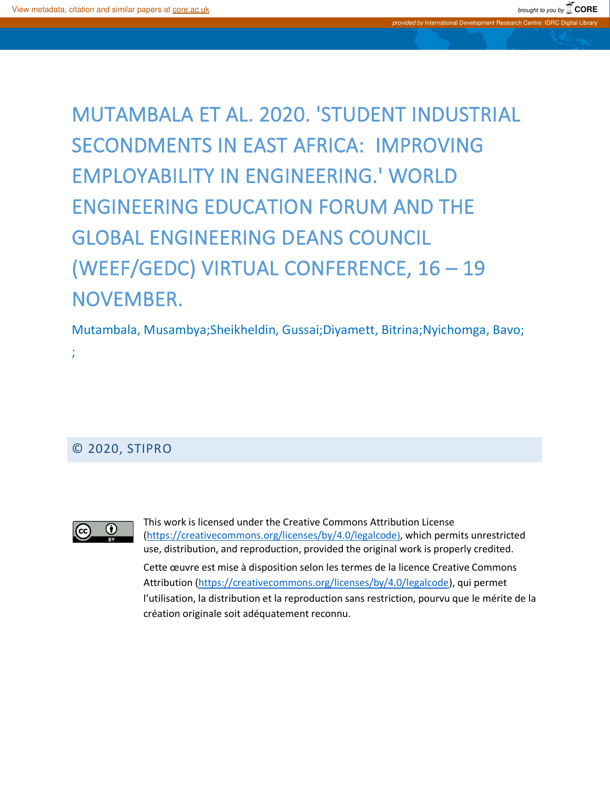MUTAMBALA ET AL. 2020. 'STUDENT INDUSTRIAL SECONDMENTS IN EAST AFRICA: IMPROVING EMPLOYABILITY IN ENGINEERING.' WORLD ENGINEERING EDUCATION FORUM AND THE GLOBAL ENGINEERING DEANS COUNCIL (WEEF/GEDC) VIRTUAL CONFERENCE, 16 – 19 NOVEMBER.

Mutambala, Musambya;Sheikheldin, Gussai;Diyamett, Bitrina;Nyichomga, Bavo;

;

# © 2020, STIPRO



This work is licensed under the Creative Commons Attribution License [\(https://creativecommons.org/licenses/by/4.0/legalcode](https://creativecommons.org/licenses/by/4.0/legalcode)), which permits unrestricted use, distribution, and reproduction, provided the original work is properly credited. Cette œuvre est mise à disposition selon les termes de la licence Creative Commons Attribution [\(https://creativecommons.org/licenses/by/4.0/legalcode\)](https://creativecommons.org/licenses/by/4.0/legalcode), qui permet l'utilisation, la distribution et la reproduction sans restriction, pourvu que le mérite de la création originale soit adéquatement reconnu.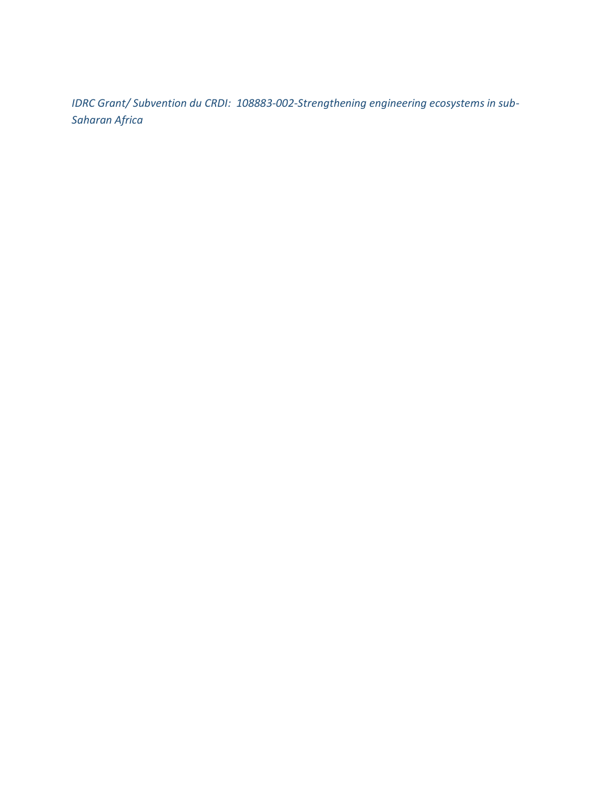*IDRC Grant/ Subvention du CRDI: 108883-002-Strengthening engineering ecosystems in sub-Saharan Africa*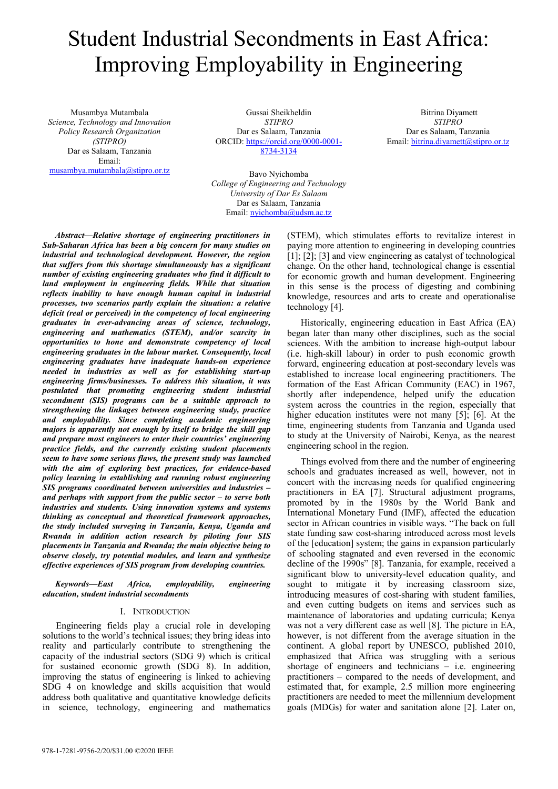# Student Industrial Secondments in East Africa: Improving Employability in Engineering

Musambya Mutambala *Science, Technology and Innovation Policy Research Organization (STIPRO)*  Dar es Salaam, Tanzania Email: musambya.mutambala@stipro.or.tz

Gussai Sheikheldin *STIPRO*  Dar es Salaam, Tanzania ORCID: https://orcid.org/0000-0001- 8734-3134

 Bitrina Diyamett *STIPRO*  Dar es Salaam, Tanzania Email: bitrina.diyamett@stipro.or.tz

Bavo Nyichomba *College of Engineering and Technology University of Dar Es Salaam*  Dar es Salaam, Tanzania Email: nyichomba@udsm.ac.tz

*Abstract***—***Relative shortage of engineering practitioners in Sub-Saharan Africa has been a big concern for many studies on industrial and technological development. However, the region that suffers from this shortage simultaneously has a significant number of existing engineering graduates who find it difficult to land employment in engineering fields. While that situation reflects inability to have enough human capital in industrial processes, two scenarios partly explain the situation: a relative deficit (real or perceived) in the competency of local engineering graduates in ever-advancing areas of science, technology, engineering and mathematics (STEM), and/or scarcity in opportunities to hone and demonstrate competency of local engineering graduates in the labour market. Consequently, local engineering graduates have inadequate hands-on experience needed in industries as well as for establishing start-up engineering firms/businesses. To address this situation, it was postulated that promoting engineering student industrial secondment (SIS) programs can be a suitable approach to strengthening the linkages between engineering study, practice and employability. Since completing academic engineering majors is apparently not enough by itself to bridge the skill gap and prepare most engineers to enter their countries' engineering practice fields, and the currently existing student placements seem to have some serious flaws, the present study was launched with the aim of exploring best practices, for evidence-based policy learning in establishing and running robust engineering SIS programs coordinated between universities and industries – and perhaps with support from the public sector – to serve both industries and students. Using innovation systems and systems thinking as conceptual and theoretical framework approaches, the study included surveying in Tanzania, Kenya, Uganda and Rwanda in addition action research by piloting four SIS placements in Tanzania and Rwanda; the main objective being to observe closely, try potential modules, and learn and synthesize effective experiences of SIS program from developing countries.* 

*Keywords—East Africa, employability, engineering education, student industrial secondments* 

#### I. INTRODUCTION

Engineering fields play a crucial role in developing solutions to the world's technical issues; they bring ideas into reality and particularly contribute to strengthening the capacity of the industrial sectors (SDG 9) which is critical for sustained economic growth (SDG 8). In addition, improving the status of engineering is linked to achieving SDG 4 on knowledge and skills acquisition that would address both qualitative and quantitative knowledge deficits in science, technology, engineering and mathematics (STEM), which stimulates efforts to revitalize interest in paying more attention to engineering in developing countries [1]; [2]; [3] and view engineering as catalyst of technological change. On the other hand, technological change is essential for economic growth and human development. Engineering in this sense is the process of digesting and combining knowledge, resources and arts to create and operationalise technology [4].

Historically, engineering education in East Africa (EA) began later than many other disciplines, such as the social sciences. With the ambition to increase high-output labour (i.e. high-skill labour) in order to push economic growth forward, engineering education at post-secondary levels was established to increase local engineering practitioners. The formation of the East African Community (EAC) in 1967, shortly after independence, helped unify the education system across the countries in the region, especially that higher education institutes were not many [5]; [6]. At the time, engineering students from Tanzania and Uganda used to study at the University of Nairobi, Kenya, as the nearest engineering school in the region.

Things evolved from there and the number of engineering schools and graduates increased as well, however, not in concert with the increasing needs for qualified engineering practitioners in EA [7]. Structural adjustment programs, promoted by in the 1980s by the World Bank and International Monetary Fund (IMF), affected the education sector in African countries in visible ways. "The back on full state funding saw cost-sharing introduced across most levels of the [education] system; the gains in expansion particularly of schooling stagnated and even reversed in the economic decline of the 1990s" [8]. Tanzania, for example, received a significant blow to university-level education quality, and sought to mitigate it by increasing classroom size, introducing measures of cost-sharing with student families, and even cutting budgets on items and services such as maintenance of laboratories and updating curricula; Kenya was not a very different case as well [8]. The picture in EA, however, is not different from the average situation in the continent. A global report by UNESCO, published 2010, emphasized that Africa was struggling with a serious shortage of engineers and technicians  $-$  i.e. engineering practitioners – compared to the needs of development, and estimated that, for example, 2.5 million more engineering practitioners are needed to meet the millennium development goals (MDGs) for water and sanitation alone [2]. Later on,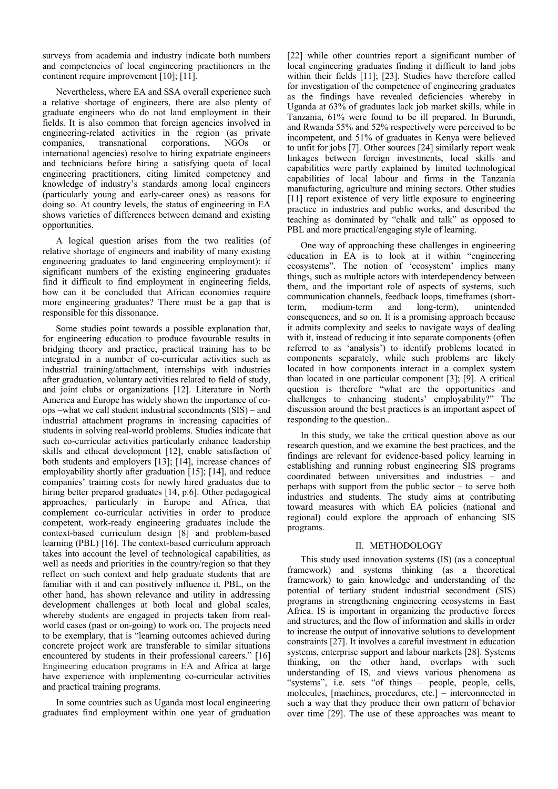surveys from academia and industry indicate both numbers and competencies of local engineering practitioners in the continent require improvement [10]; [11].

Nevertheless, where EA and SSA overall experience such a relative shortage of engineers, there are also plenty of graduate engineers who do not land employment in their fields. It is also common that foreign agencies involved in engineering-related activities in the region (as private companies, transnational corporations, NGOs or international agencies) resolve to hiring expatriate engineers and technicians before hiring a satisfying quota of local engineering practitioners, citing limited competency and knowledge of industry's standards among local engineers (particularly young and early-career ones) as reasons for doing so. At country levels, the status of engineering in EA shows varieties of differences between demand and existing opportunities.

A logical question arises from the two realities (of relative shortage of engineers and inability of many existing engineering graduates to land engineering employment): if significant numbers of the existing engineering graduates find it difficult to find employment in engineering fields, how can it be concluded that African economies require more engineering graduates? There must be a gap that is responsible for this dissonance.

Some studies point towards a possible explanation that, for engineering education to produce favourable results in bridging theory and practice, practical training has to be integrated in a number of co-curricular activities such as industrial training/attachment, internships with industries after graduation, voluntary activities related to field of study, and joint clubs or organizations [12]. Literature in North America and Europe has widely shown the importance of coops –what we call student industrial secondments (SIS) – and industrial attachment programs in increasing capacities of students in solving real-world problems. Studies indicate that such co-curricular activities particularly enhance leadership skills and ethical development [12], enable satisfaction of both students and employers [13]; [14], increase chances of employability shortly after graduation [15]; [14], and reduce companies' training costs for newly hired graduates due to hiring better prepared graduates [14, p.6]. Other pedagogical approaches, particularly in Europe and Africa, that complement co-curricular activities in order to produce competent, work-ready engineering graduates include the context-based curriculum design [8] and problem-based learning (PBL) [16]. The context-based curriculum approach takes into account the level of technological capabilities, as well as needs and priorities in the country/region so that they reflect on such context and help graduate students that are familiar with it and can positively influence it. PBL, on the other hand, has shown relevance and utility in addressing development challenges at both local and global scales, whereby students are engaged in projects taken from realworld cases (past or on-going) to work on. The projects need to be exemplary, that is "learning outcomes achieved during concrete project work are transferable to similar situations encountered by students in their professional careers." [16] Engineering education programs in EA and Africa at large have experience with implementing co-curricular activities and practical training programs.

In some countries such as Uganda most local engineering graduates find employment within one year of graduation

[22] while other countries report a significant number of local engineering graduates finding it difficult to land jobs within their fields [11]; [23]. Studies have therefore called for investigation of the competence of engineering graduates as the findings have revealed deficiencies whereby in Uganda at 63% of graduates lack job market skills, while in Tanzania, 61% were found to be ill prepared. In Burundi, and Rwanda 55% and 52% respectively were perceived to be incompetent, and 51% of graduates in Kenya were believed to unfit for jobs [7]. Other sources [24] similarly report weak linkages between foreign investments, local skills and capabilities were partly explained by limited technological capabilities of local labour and firms in the Tanzania manufacturing, agriculture and mining sectors. Other studies [11] report existence of very little exposure to engineering practice in industries and public works, and described the teaching as dominated by "chalk and talk" as opposed to PBL and more practical/engaging style of learning.

One way of approaching these challenges in engineering education in EA is to look at it within "engineering ecosystems". The notion of 'ecosystem' implies many things, such as multiple actors with interdependency between them, and the important role of aspects of systems, such communication channels, feedback loops, timeframes (shortterm, medium-term and long-term), unintended consequences, and so on. It is a promising approach because it admits complexity and seeks to navigate ways of dealing with it, instead of reducing it into separate components (often referred to as 'analysis') to identify problems located in components separately, while such problems are likely located in how components interact in a complex system than located in one particular component [3]; [9]. A critical question is therefore "what are the opportunities and challenges to enhancing students' employability?" The discussion around the best practices is an important aspect of responding to the question..

In this study, we take the critical question above as our research question, and we examine the best practices, and the findings are relevant for evidence-based policy learning in establishing and running robust engineering SIS programs coordinated between universities and industries – and perhaps with support from the public sector – to serve both industries and students. The study aims at contributing toward measures with which EA policies (national and regional) could explore the approach of enhancing SIS programs.

#### II. METHODOLOGY

This study used innovation systems (IS) (as a conceptual framework) and systems thinking (as a theoretical framework) to gain knowledge and understanding of the potential of tertiary student industrial secondment (SIS) programs in strengthening engineering ecosystems in East Africa. IS is important in organizing the productive forces and structures, and the flow of information and skills in order to increase the output of innovative solutions to development constraints [27]. It involves a careful investment in education systems, enterprise support and labour markets [28]. Systems thinking, on the other hand, overlaps with such understanding of IS, and views various phenomena as "systems", i.e. sets "of things – people, people, cells, molecules, [machines, procedures, etc.] – interconnected in such a way that they produce their own pattern of behavior over time [29]. The use of these approaches was meant to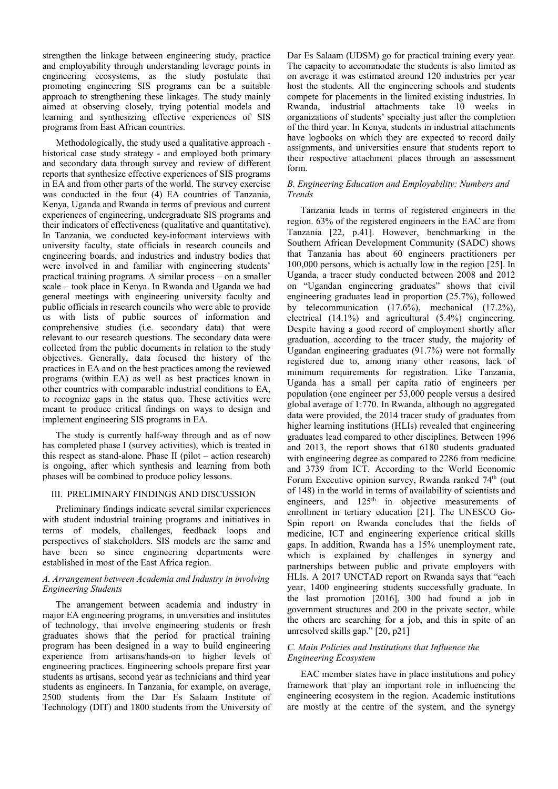strengthen the linkage between engineering study, practice and employability through understanding leverage points in engineering ecosystems, as the study postulate that promoting engineering SIS programs can be a suitable approach to strengthening these linkages. The study mainly aimed at observing closely, trying potential models and learning and synthesizing effective experiences of SIS programs from East African countries.

Methodologically, the study used a qualitative approach historical case study strategy - and employed both primary and secondary data through survey and review of different reports that synthesize effective experiences of SIS programs in EA and from other parts of the world. The survey exercise was conducted in the four (4) EA countries of Tanzania, Kenya, Uganda and Rwanda in terms of previous and current experiences of engineering, undergraduate SIS programs and their indicators of effectiveness (qualitative and quantitative). In Tanzania, we conducted key-informant interviews with university faculty, state officials in research councils and engineering boards, and industries and industry bodies that were involved in and familiar with engineering students' practical training programs. A similar process – on a smaller scale – took place in Kenya. In Rwanda and Uganda we had general meetings with engineering university faculty and public officials in research councils who were able to provide us with lists of public sources of information and comprehensive studies (i.e. secondary data) that were relevant to our research questions. The secondary data were collected from the public documents in relation to the study objectives. Generally, data focused the history of the practices in EA and on the best practices among the reviewed programs (within EA) as well as best practices known in other countries with comparable industrial conditions to EA, to recognize gaps in the status quo. These activities were meant to produce critical findings on ways to design and implement engineering SIS programs in EA.

The study is currently half-way through and as of now has completed phase I (survey activities), which is treated in this respect as stand-alone. Phase II (pilot – action research) is ongoing, after which synthesis and learning from both phases will be combined to produce policy lessons.

#### III. PRELIMINARY FINDINGS AND DISCUSSION

Preliminary findings indicate several similar experiences with student industrial training programs and initiatives in terms of models, challenges, feedback loops and perspectives of stakeholders. SIS models are the same and have been so since engineering departments were established in most of the East Africa region.

#### *A. Arrangement between Academia and Industry in involving Engineering Students*

The arrangement between academia and industry in major EA engineering programs, in universities and institutes of technology, that involve engineering students or fresh graduates shows that the period for practical training program has been designed in a way to build engineering experience from artisans/hands-on to higher levels of engineering practices. Engineering schools prepare first year students as artisans, second year as technicians and third year students as engineers. In Tanzania, for example, on average, 2500 students from the Dar Es Salaam Institute of Technology (DIT) and 1800 students from the University of

Dar Es Salaam (UDSM) go for practical training every year. The capacity to accommodate the students is also limited as on average it was estimated around 120 industries per year host the students. All the engineering schools and students compete for placements in the limited existing industries. In Rwanda, industrial attachments take 10 weeks in organizations of students' specialty just after the completion of the third year. In Kenya, students in industrial attachments have logbooks on which they are expected to record daily assignments, and universities ensure that students report to their respective attachment places through an assessment form.

#### *B. Engineering Education and Employability: Numbers and Trends*

Tanzania leads in terms of registered engineers in the region. 63% of the registered engineers in the EAC are from Tanzania [22, p.41]. However, benchmarking in the Southern African Development Community (SADC) shows that Tanzania has about 60 engineers practitioners per 100,000 persons, which is actually low in the region [25]. In Uganda, a tracer study conducted between 2008 and 2012 on "Ugandan engineering graduates" shows that civil engineering graduates lead in proportion (25.7%), followed by telecommunication (17.6%), mechanical (17.2%), electrical (14.1%) and agricultural (5.4%) engineering. Despite having a good record of employment shortly after graduation, according to the tracer study, the majority of Ugandan engineering graduates (91.7%) were not formally registered due to, among many other reasons, lack of minimum requirements for registration. Like Tanzania, Uganda has a small per capita ratio of engineers per population (one engineer per 53,000 people versus a desired global average of 1:770. In Rwanda, although no aggregated data were provided, the 2014 tracer study of graduates from higher learning institutions (HLIs) revealed that engineering graduates lead compared to other disciplines. Between 1996 and 2013, the report shows that 6180 students graduated with engineering degree as compared to 2286 from medicine and 3739 from ICT. According to the World Economic Forum Executive opinion survey, Rwanda ranked 74<sup>th</sup> (out of 148) in the world in terms of availability of scientists and engineers, and  $125<sup>th</sup>$  in objective measurements of enrollment in tertiary education [21]. The UNESCO Go-Spin report on Rwanda concludes that the fields of medicine, ICT and engineering experience critical skills gaps. In addition, Rwanda has a 15% unemployment rate, which is explained by challenges in synergy and partnerships between public and private employers with HLIs. A 2017 UNCTAD report on Rwanda says that "each year, 1400 engineering students successfully graduate. In the last promotion [2016], 300 had found a job in government structures and 200 in the private sector, while the others are searching for a job, and this in spite of an unresolved skills gap." [20, p21]

## *C. Main Policies and Institutions that Influence the Engineering Ecosystem*

EAC member states have in place institutions and policy framework that play an important role in influencing the engineering ecosystem in the region. Academic institutions are mostly at the centre of the system, and the synergy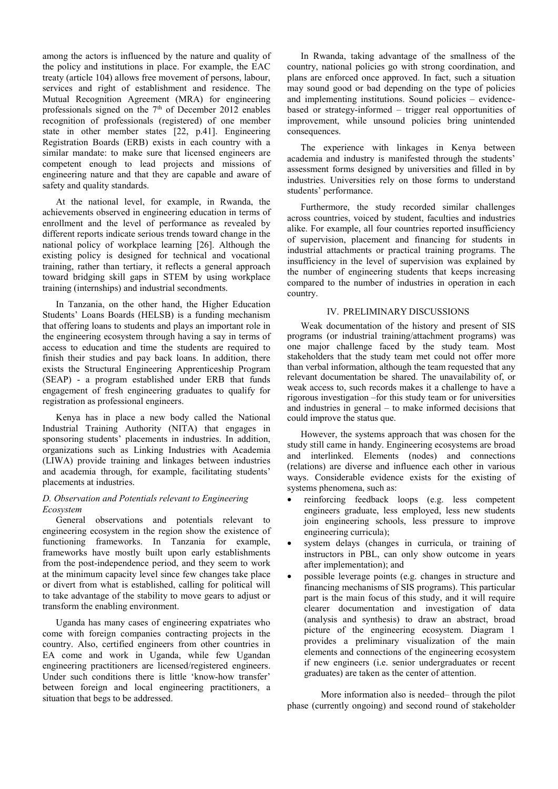among the actors is influenced by the nature and quality of the policy and institutions in place. For example, the EAC treaty (article 104) allows free movement of persons, labour, services and right of establishment and residence. The Mutual Recognition Agreement (MRA) for engineering professionals signed on the  $7<sup>th</sup>$  of December 2012 enables recognition of professionals (registered) of one member state in other member states [22, p.41]. Engineering Registration Boards (ERB) exists in each country with a similar mandate: to make sure that licensed engineers are competent enough to lead projects and missions of engineering nature and that they are capable and aware of safety and quality standards.

At the national level, for example, in Rwanda, the achievements observed in engineering education in terms of enrollment and the level of performance as revealed by different reports indicate serious trends toward change in the national policy of workplace learning [26]. Although the existing policy is designed for technical and vocational training, rather than tertiary, it reflects a general approach toward bridging skill gaps in STEM by using workplace training (internships) and industrial secondments.

In Tanzania, on the other hand, the Higher Education Students' Loans Boards (HELSB) is a funding mechanism that offering loans to students and plays an important role in the engineering ecosystem through having a say in terms of access to education and time the students are required to finish their studies and pay back loans. In addition, there exists the Structural Engineering Apprenticeship Program (SEAP) - a program established under ERB that funds engagement of fresh engineering graduates to qualify for registration as professional engineers.

Kenya has in place a new body called the National Industrial Training Authority (NITA) that engages in sponsoring students' placements in industries. In addition, organizations such as Linking Industries with Academia (LIWA) provide training and linkages between industries and academia through, for example, facilitating students' placements at industries.

### *D. Observation and Potentials relevant to Engineering Ecosystem*

General observations and potentials relevant to engineering ecosystem in the region show the existence of functioning frameworks. In Tanzania for example, frameworks have mostly built upon early establishments from the post-independence period, and they seem to work at the minimum capacity level since few changes take place or divert from what is established, calling for political will to take advantage of the stability to move gears to adjust or transform the enabling environment.

Uganda has many cases of engineering expatriates who come with foreign companies contracting projects in the country. Also, certified engineers from other countries in EA come and work in Uganda, while few Ugandan engineering practitioners are licensed/registered engineers. Under such conditions there is little 'know-how transfer' between foreign and local engineering practitioners, a situation that begs to be addressed.

In Rwanda, taking advantage of the smallness of the country, national policies go with strong coordination, and plans are enforced once approved. In fact, such a situation may sound good or bad depending on the type of policies and implementing institutions. Sound policies – evidencebased or strategy-informed – trigger real opportunities of improvement, while unsound policies bring unintended consequences.

The experience with linkages in Kenya between academia and industry is manifested through the students' assessment forms designed by universities and filled in by industries. Universities rely on those forms to understand students' performance.

Furthermore, the study recorded similar challenges across countries, voiced by student, faculties and industries alike. For example, all four countries reported insufficiency of supervision, placement and financing for students in industrial attachments or practical training programs. The insufficiency in the level of supervision was explained by the number of engineering students that keeps increasing compared to the number of industries in operation in each country.

### IV. PRELIMINARY DISCUSSIONS

Weak documentation of the history and present of SIS programs (or industrial training/attachment programs) was one major challenge faced by the study team. Most stakeholders that the study team met could not offer more than verbal information, although the team requested that any relevant documentation be shared. The unavailability of, or weak access to, such records makes it a challenge to have a rigorous investigation –for this study team or for universities and industries in general – to make informed decisions that could improve the status que.

However, the systems approach that was chosen for the study still came in handy. Engineering ecosystems are broad and interlinked. Elements (nodes) and connections (relations) are diverse and influence each other in various ways. Considerable evidence exists for the existing of systems phenomena, such as:

- reinforcing feedback loops (e.g. less competent engineers graduate, less employed, less new students join engineering schools, less pressure to improve engineering curricula);
- system delays (changes in curricula, or training of instructors in PBL, can only show outcome in years after implementation); and
- possible leverage points (e.g. changes in structure and financing mechanisms of SIS programs). This particular part is the main focus of this study, and it will require clearer documentation and investigation of data (analysis and synthesis) to draw an abstract, broad picture of the engineering ecosystem. Diagram 1 provides a preliminary visualization of the main elements and connections of the engineering ecosystem if new engineers (i.e. senior undergraduates or recent graduates) are taken as the center of attention.

More information also is needed– through the pilot phase (currently ongoing) and second round of stakeholder